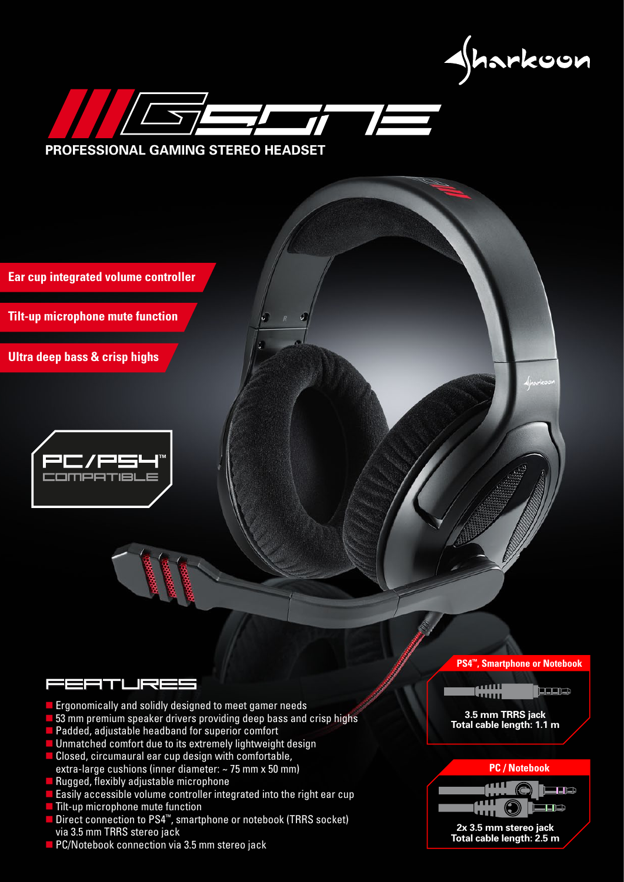gharkoon



**Ear cup integrated volume controller**

**Tilt-up microphone mute function**

**Ultra deep bass & crisp highs** 



# i=2TLR=

- **Example 2** Ergonomically and solidly designed to meet gamer needs
- **53** mm premium speaker drivers providing deep bass and crisp highs
- **Padded, adjustable headband for superior comfort**
- **Unmatched comfort due to its extremely lightweight design**
- Closed, circumaural ear cup design with comfortable, extra-large cushions (inner diameter: ~ 75 mm x 50 mm)
- $\blacksquare$  Rugged, flexibly adjustable microphone
- Easily accessible volume controller integrated into the right ear cup
- **Tilt-up microphone mute function**
- Direct connection to PS4<sup>™</sup>, smartphone or notebook (TRRS socket) via 3.5 mm TRRS stereo jack
- **PC/Notebook connection via 3.5 mm stereo jack**

### **PS4™, Smartphone or Notebook**



haas

#### **3.5 mm TRRS jack Total cable length: 1.1 m**

### **PC / Notebook**